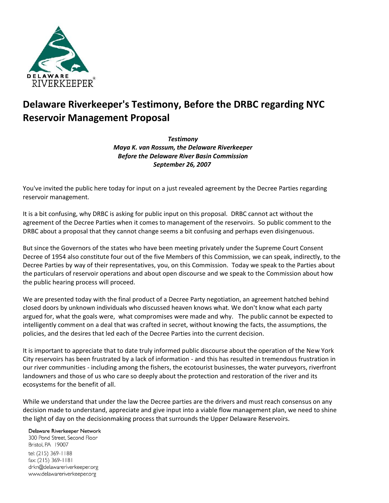

## **Delaware Riverkeeper's Testimony, Before the DRBC regarding NYC Reservoir Management Proposal**

*Testimony Maya K. van Rossum, the Delaware Riverkeeper Before the Delaware River Basin Commission September 26, 2007*

You've invited the public here today for input on a just revealed agreement by the Decree Parties regarding reservoir management.

It is a bit confusing, why DRBC is asking for public input on this proposal. DRBC cannot act without the agreement of the Decree Parties when it comes to management of the reservoirs. So public comment to the DRBC about a proposal that they cannot change seems a bit confusing and perhaps even disingenuous.

But since the Governors of the states who have been meeting privately under the Supreme Court Consent Decree of 1954 also constitute four out of the five Members of this Commission, we can speak, indirectly, to the Decree Parties by way of their representatives, you, on this Commission. Today we speak to the Parties about the particulars of reservoir operations and about open discourse and we speak to the Commission about how the public hearing process will proceed.

We are presented today with the final product of a Decree Party negotiation, an agreement hatched behind closed doors by unknown individuals who discussed heaven knows what. We don't know what each party argued for, what the goals were, what compromises were made and why. The public cannot be expected to intelligently comment on a deal that was crafted in secret, without knowing the facts, the assumptions, the policies, and the desires that led each of the Decree Parties into the current decision.

It is important to appreciate that to date truly informed public discourse about the operation of the New York City reservoirs has been frustrated by a lack of information - and this has resulted in tremendous frustration in our river communities - including among the fishers, the ecotourist businesses, the water purveyors, riverfront landowners and those of us who care so deeply about the protection and restoration of the river and its ecosystems for the benefit of all.

While we understand that under the law the Decree parties are the drivers and must reach consensus on any decision made to understand, appreciate and give input into a viable flow management plan, we need to shine the light of day on the decisionmaking process that surrounds the Upper Delaware Reservoirs.

## Delaware Riverkeeper Network

300 Pond Street, Second Floor Bristol, PA 19007 tel: (215) 369-1188 fax: (215) 369-1181 drkn@delawareriverkeeper.org www.delawareriverkeeper.org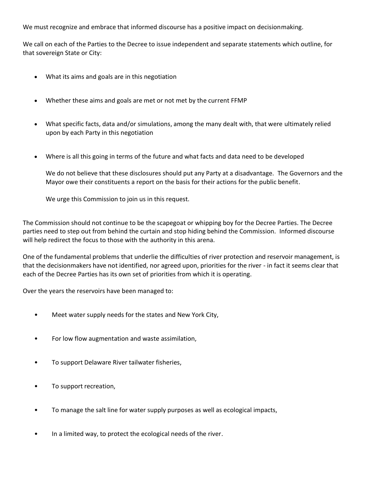We must recognize and embrace that informed discourse has a positive impact on decisionmaking.

We call on each of the Parties to the Decree to issue independent and separate statements which outline, for that sovereign State or City:

- What its aims and goals are in this negotiation
- Whether these aims and goals are met or not met by the current FFMP
- What specific facts, data and/or simulations, among the many dealt with, that were ultimately relied upon by each Party in this negotiation
- Where is all this going in terms of the future and what facts and data need to be developed

We do not believe that these disclosures should put any Party at a disadvantage. The Governors and the Mayor owe their constituents a report on the basis for their actions for the public benefit.

We urge this Commission to join us in this request.

The Commission should not continue to be the scapegoat or whipping boy for the Decree Parties. The Decree parties need to step out from behind the curtain and stop hiding behind the Commission. Informed discourse will help redirect the focus to those with the authority in this arena.

One of the fundamental problems that underlie the difficulties of river protection and reservoir management, is that the decisionmakers have not identified, nor agreed upon, priorities for the river - in fact it seems clear that each of the Decree Parties has its own set of priorities from which it is operating.

Over the years the reservoirs have been managed to:

- Meet water supply needs for the states and New York City,
- For low flow augmentation and waste assimilation,
- To support Delaware River tailwater fisheries,
- To support recreation,
- To manage the salt line for water supply purposes as well as ecological impacts,
- In a limited way, to protect the ecological needs of the river.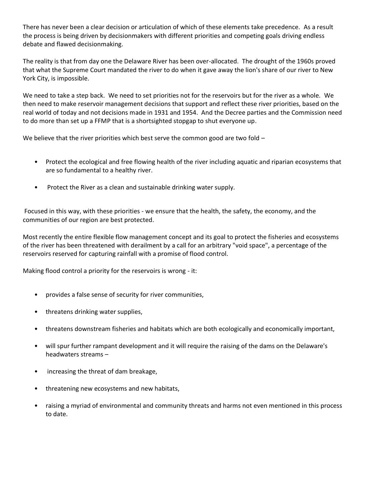There has never been a clear decision or articulation of which of these elements take precedence. As a result the process is being driven by decisionmakers with different priorities and competing goals driving endless debate and flawed decisionmaking.

The reality is that from day one the Delaware River has been over-allocated. The drought of the 1960s proved that what the Supreme Court mandated the river to do when it gave away the lion's share of our river to New York City, is impossible.

We need to take a step back. We need to set priorities not for the reservoirs but for the river as a whole. We then need to make reservoir management decisions that support and reflect these river priorities, based on the real world of today and not decisions made in 1931 and 1954. And the Decree parties and the Commission need to do more than set up a FFMP that is a shortsighted stopgap to shut everyone up.

We believe that the river priorities which best serve the common good are two fold  $-$ 

- Protect the ecological and free flowing health of the river including aquatic and riparian ecosystems that are so fundamental to a healthy river.
- Protect the River as a clean and sustainable drinking water supply.

Focused in this way, with these priorities - we ensure that the health, the safety, the economy, and the communities of our region are best protected.

Most recently the entire flexible flow management concept and its goal to protect the fisheries and ecosystems of the river has been threatened with derailment by a call for an arbitrary "void space", a percentage of the reservoirs reserved for capturing rainfall with a promise of flood control.

Making flood control a priority for the reservoirs is wrong - it:

- provides a false sense of security for river communities,
- threatens drinking water supplies,
- threatens downstream fisheries and habitats which are both ecologically and economically important,
- will spur further rampant development and it will require the raising of the dams on the Delaware's headwaters streams –
- increasing the threat of dam breakage,
- threatening new ecosystems and new habitats,
- raising a myriad of environmental and community threats and harms not even mentioned in this process to date.